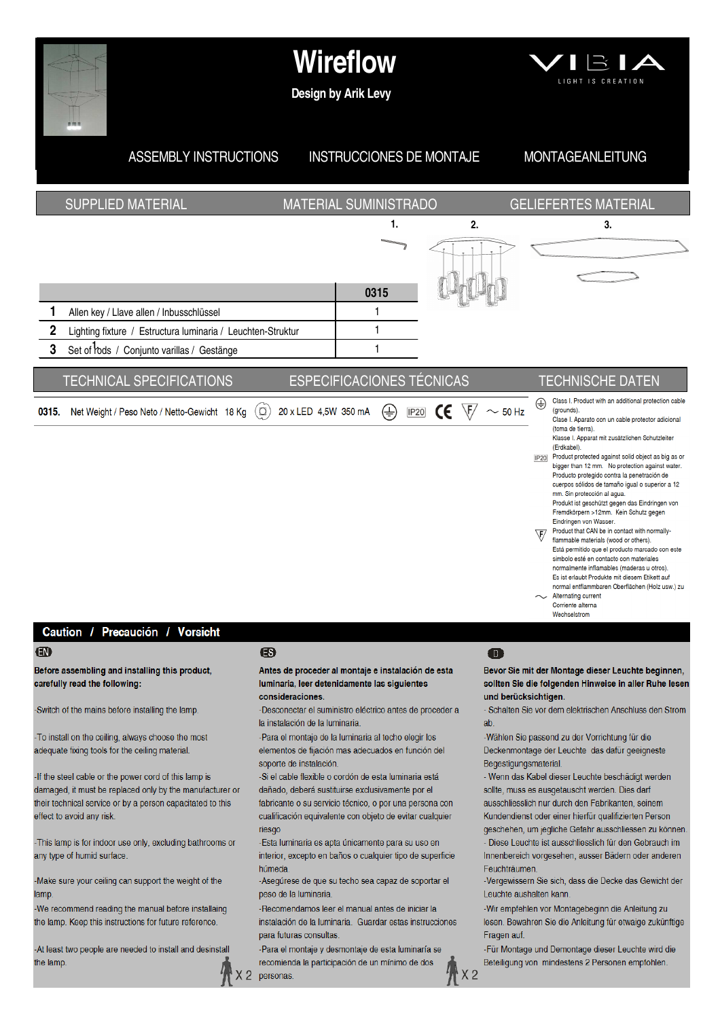

### Caution / Precaución / Vorsicht

### $\bigoplus$

Before assembling and installing this product, carefully read the following:

-Switch of the mains before installing the lamp.

To install on the ceiling, always choose the most adequate fixing tools for the ceiling material.

If the steel cable or the power cord of this lamp is damaged, it must be replaced only by the manufacturer or their technical service or by a person capacitated to this effect to avoid any risk.

-This lamp is for indoor use only, excluding bathrooms or any type of humid surface.

-Make sure your ceiling can support the weight of the lamp.

-We recommend reading the manual before installaing the lamp. Keep this instructions for future reference.

-At least two people are needed to install and desinstall the lamp.

## ®

 $X<sub>2</sub>$ 

Antes de proceder al montaje e instalación de esta luminaria, leer detenidamente las siguientes consideraciones.

-Desconectar el suministro eléctrico antes de proceder a la instalación de la luminaria.

-Para el montaje de la luminaria al techo elegir los elementos de fijación mas adecuados en función del soporte de instalación

-Si el cable flexible o cordón de esta luminaria está dañado, deberá sustituirse exclusivamente por el fabricante o su servicio técnico, o por una persona con cualificación equivalente con objeto de evitar cualquier riesao

-Esta luminaria es apta únicamente para su uso en interior, excepto en baños o cualquier tipo de superficie húmeda

-Aseqúrese de que su techo sea capaz de soportar el peso de la luminaria

-Recomendamos leer el manual antes de iniciar la instalación de la luminaria. Guardar estas instrucciones para futuras consultas

-Para el montaje y desmontaje de esta luminaría se recomienda la participación de un mínimo de dos personas

### $\mathbf \Omega$

Bevor Sie mit der Montage dieser Leuchte beginnen, sollten Sie die folgenden Hinweise in aller Ruhe lesen und berücksichtigen.

- Schalten Sie vor dem elektrischen Anschluss den Strom  $ab$ 

-Wählen Sie passend zu der Vorrichtung für die Deckenmontage der Leuchte das dafür geeigneste Begestigungsmaterial.

- Wenn das Kabel dieser Leuchte beschädigt werden sollte muss es ausgetauscht werden. Dies darf ausschliesslich nur durch den Fabrikanten, seinem Kundendienst oder einer hierfür qualifizierten Person geschehen, um jegliche Gefahr ausschliessen zu können.

- Diese Leuchte ist ausschliesslich für den Gebrauch im Innenbereich vorgesehen, ausser Bädern oder anderen Feuchträumen

-Vergewissern Sie sich, dass die Decke das Gewicht der Leuchte aushalten kann

-Wir empfehlen vor Montagebeginn die Anleitung zu lesen. Bewahren Sie die Anleitung für etwaige zukünftige Fragen auf

-Für Montage und Demontage dieser Leuchte wird die Beteiligung von mindestens 2 Personen empfohlen.



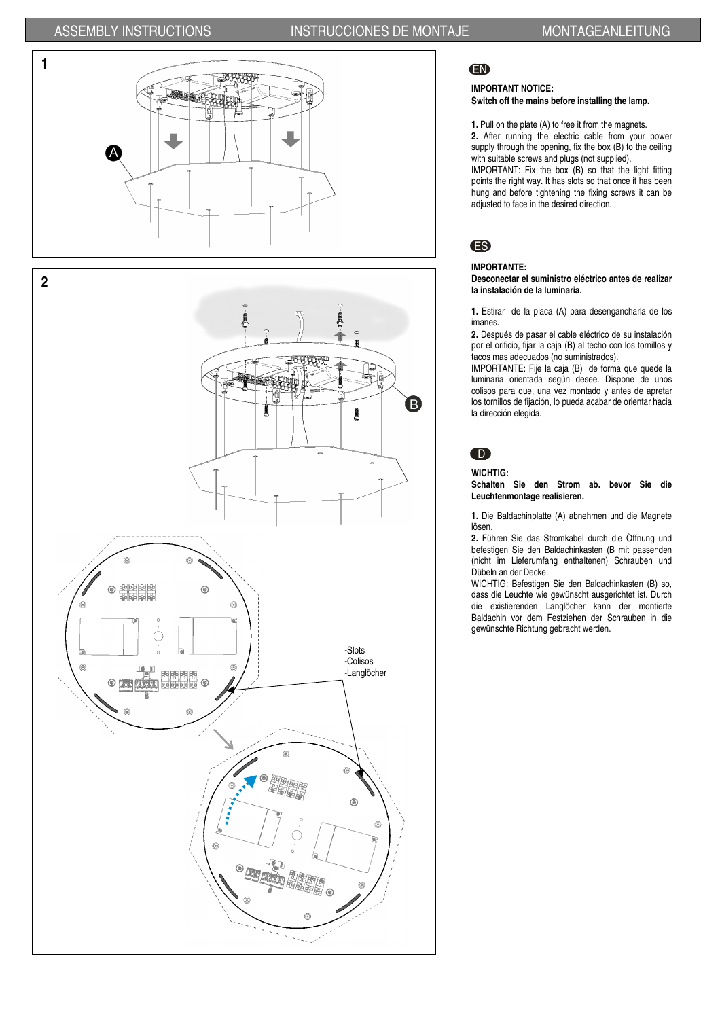

唐图图画

ã

明明的。

Ġ

# EN

### **IMPORTANT NOTICE: Switch off the mains before installing the lamp.**

**1.** Pull on the plate (A) to free it from the magnets.

**2.** After running the electric cable from your power supply through the opening, fix the box (B) to the ceiling with suitable screws and plugs (not supplied).

IMPORTANT: Fix the box (B) so that the light fitting points the right way. It has slots so that once it has been hung and before tightening the fixing screws it can be adjusted to face in the desired direction.

# ES

## **IMPORTANTE:**

### **Desconectar el suministro eléctrico antes de realizar la instalación de la luminaria.**

**1.** Estirar de la placa (A) para desengancharla de los imanes.

**2.** Después de pasar el cable eléctrico de su instalación por el orificio, fijar la caja (B) al techo con los tornillos y tacos mas adecuados (no suministrados).

IMPORTANTE: Fije la caja (B) de forma que quede la luminaria orientada según desee. Dispone de unos colisos para que, una vez montado y antes de apretar los tornillos de fijación, lo pueda acabar de orientar hacia la dirección elegida.

# D

**WICHTIG:**

**Schalten Sie den Strom ab. bevor Sie die Leuchtenmontage realisieren.** 

**1.** Die Baldachinplatte (A) abnehmen und die Magnete lösen.

**2.** Führen Sie das Stromkabel durch die Öffnung und befestigen Sie den Baldachinkasten (B mit passenden (nicht im Lieferumfang enthaltenen) Schrauben und Dübeln an der Decke.

WICHTIG: Befestigen Sie den Baldachinkasten (B) so, dass die Leuchte wie gewünscht ausgerichtet ist. Durch die existierenden Langlöcher kann der montierte Baldachin vor dem Festziehen der Schrauben in die gewünschte Richtung gebracht werden.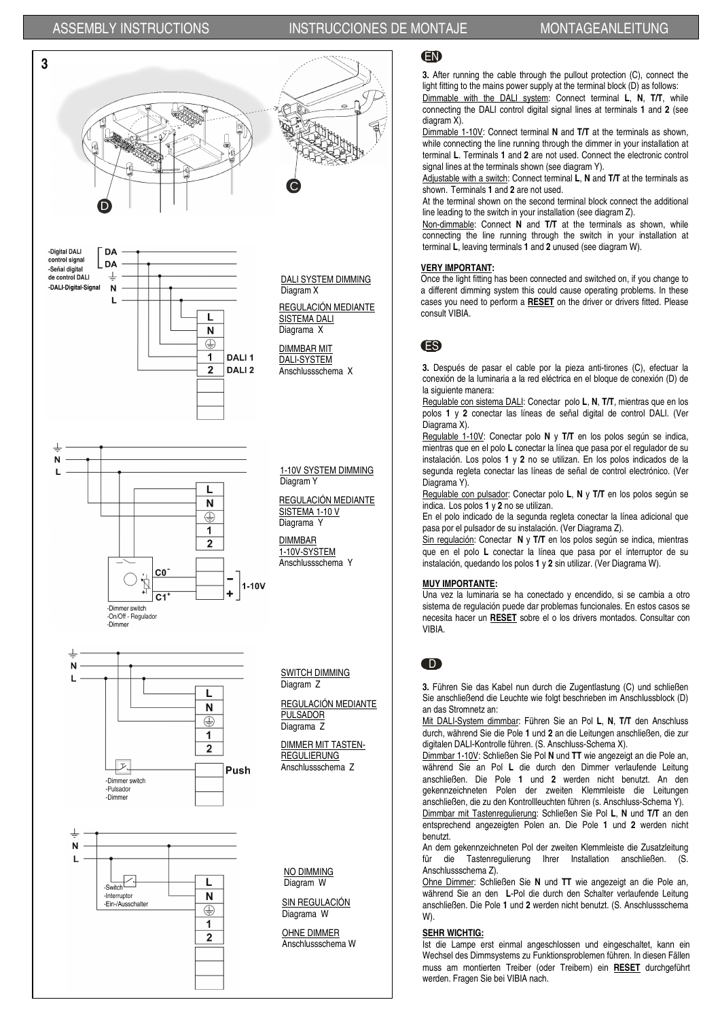

## EN

**3.** After running the cable through the pullout protection (C), connect the light fitting to the mains power supply at the terminal block (D) as follows:

Dimmable with the DALI system: Connect terminal **L**, **N**, **T/T**, while connecting the DALI control digital signal lines at terminals **1** and **2** (see diagram X).

Dimmable 1-10V: Connect terminal **N** and **T/T** at the terminals as shown, while connecting the line running through the dimmer in your installation at terminal **L**. Terminals **1** and **2** are not used. Connect the electronic control signal lines at the terminals shown (see diagram Y).

Adjustable with a switch: Connect terminal **L**, **N** and **T/T** at the terminals as shown. Terminals **1** and **2** are not used.

At the terminal shown on the second terminal block connect the additional line leading to the switch in your installation (see diagram Z).

Non-dimmable: Connect **N** and **T/T** at the terminals as shown, while connecting the line running through the switch in your installation at terminal **L**, leaving terminals **1** and **2** unused (see diagram W).

### **VERY IMPORTANT:**

Once the light fitting has been connected and switched on, if you change to a different dimming system this could cause operating problems. In these cases you need to perform a **RESET** on the driver or drivers fitted. Please consult VIBIA.

## ES

**3.** Después de pasar el cable por la pieza anti-tirones (C), efectuar la conexión de la luminaria a la red eléctrica en el bloque de conexión (D) de la siguiente manera:

Regulable con sistema DALI: Conectar polo **L**, **N**, **T/T**, mientras que en los polos **1** y **2** conectar las líneas de señal digital de control DALI. (Ver Diagrama X).

Regulable 1-10V: Conectar polo **N** y **T/T** en los polos según se indica, mientras que en el polo **L** conectar la línea que pasa por el regulador de su instalación. Los polos **1** y **2** no se utilizan. En los polos indicados de la segunda regleta conectar las líneas de señal de control electrónico. (Ver Diagrama Y).

Regulable con pulsador: Conectar polo **L**, **N** y **T/T** en los polos según se indica. Los polos **1** y **2** no se utilizan.

En el polo indicado de la segunda regleta conectar la línea adicional que pasa por el pulsador de su instalación. (Ver Diagrama Z).

Sin regulación: Conectar **N** y **T/T** en los polos según se indica, mientras que en el polo **L** conectar la línea que pasa por el interruptor de su instalación, quedando los polos **1** y **2** sin utilizar. (Ver Diagrama W).

### **MUY IMPORTANTE:**

Una vez la luminaria se ha conectado y encendido, si se cambia a otro sistema de regulación puede dar problemas funcionales. En estos casos se necesita hacer un **RESET** sobre el o los drivers montados. Consultar con VIBIA.

## D

**3.** Führen Sie das Kabel nun durch die Zugentlastung (C) und schließen Sie anschließend die Leuchte wie folgt beschrieben im Anschlussblock (D) an das Stromnetz an:

Mit DALI-System dimmbar: Führen Sie an Pol **L**, **N**, **T/T** den Anschluss durch, während Sie die Pole **1** und **2** an die Leitungen anschließen, die zur digitalen DALI-Kontrolle führen. (S. Anschluss-Schema X).

Dimmbar 1-10V: Schließen Sie Pol **N** und **TT** wie angezeigt an die Pole an, während Sie an Pol **L** die durch den Dimmer verlaufende Leitung anschließen. Die Pole **1** und **2** werden nicht benutzt. An den gekennzeichneten Polen der zweiten Klemmleiste die Leitungen anschließen, die zu den Kontrollleuchten führen (s. Anschluss-Schema Y). Dimmbar mit Tastenregulierung: Schließen Sie Pol **L**, **N** und **T/T** an den entsprechend angezeigten Polen an. Die Pole **1** und **2** werden nicht benutzt.

An dem gekennzeichneten Pol der zweiten Klemmleiste die Zusatzleitung für die Tastenregulierung Ihrer Installation anschließen. (S. Anschlussschema Z).

Ohne Dimmer: Schließen Sie **N** und **TT** wie angezeigt an die Pole an, während Sie an den **L**-Pol die durch den Schalter verlaufende Leitung anschließen. Die Pole **1** und **2** werden nicht benutzt. (S. Anschlussschema W).

### **SEHR WICHTIG:**

Ist die Lampe erst einmal angeschlossen und eingeschaltet, kann ein Wechsel des Dimmsystems zu Funktionsproblemen führen. In diesen Fällen muss am montierten Treiber (oder Treibern) ein **RESET** durchgeführt werden. Fragen Sie bei VIBIA nach.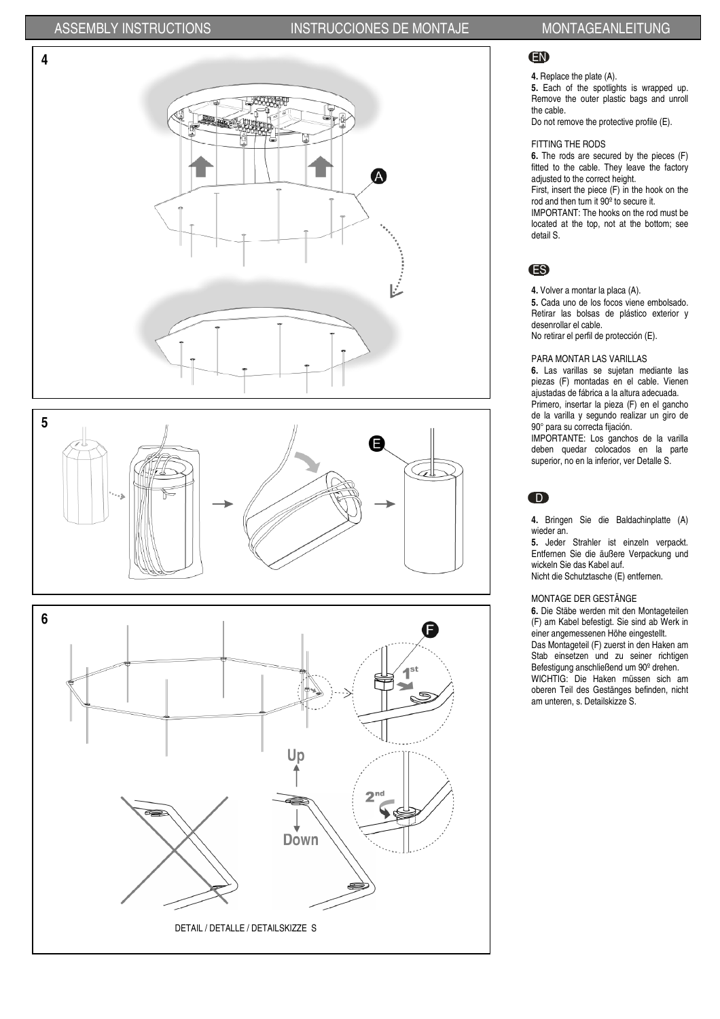

## EN

## **4.** Replace the plate (A).

**5.** Each of the spotlights is wrapped up. Remove the outer plastic bags and unroll the cable.

Do not remove the protective profile (E).

### FITTING THE RODS

**6.** The rods are secured by the pieces (F) fitted to the cable. They leave the factory adjusted to the correct height.

First, insert the piece (F) in the hook on the rod and then turn it 90º to secure it.

IMPORTANT: The hooks on the rod must be located at the top, not at the bottom; see detail S.

## ES

**4.** Volver a montar la placa (A).

**5.** Cada uno de los focos viene embolsado. Retirar las bolsas de plástico exterior y desenrollar el cable. No retirar el perfil de protección (E).

### PARA MONTAR LAS VARILLAS

**6.** Las varillas se sujetan mediante las piezas (F) montadas en el cable. Vienen ajustadas de fábrica a la altura adecuada. Primero, insertar la pieza (F) en el gancho de la varilla y segundo realizar un giro de 90° para su correcta fijación.

IMPORTANTE: Los ganchos de la varilla deben quedar colocados en la parte superior, no en la inferior, ver Detalle S.

## $\bullet$

**4.** Bringen Sie die Baldachinplatte (A) wieder an.

**5.** Jeder Strahler ist einzeln verpackt. Entfernen Sie die äußere Verpackung und wickeln Sie das Kabel auf. Nicht die Schutztasche (E) entfernen.

### MONTAGE DER GESTÄNGE

**6.** Die Stäbe werden mit den Montageteilen (F) am Kabel befestigt. Sie sind ab Werk in einer angemessenen Höhe eingestellt. Das Montageteil (F) zuerst in den Haken am Stab einsetzen und zu seiner richtigen Befestigung anschließend um 90º drehen. WICHTIG: Die Haken müssen sich am oberen Teil des Gestänges befinden, nicht am unteren, s. Detailskizze S.